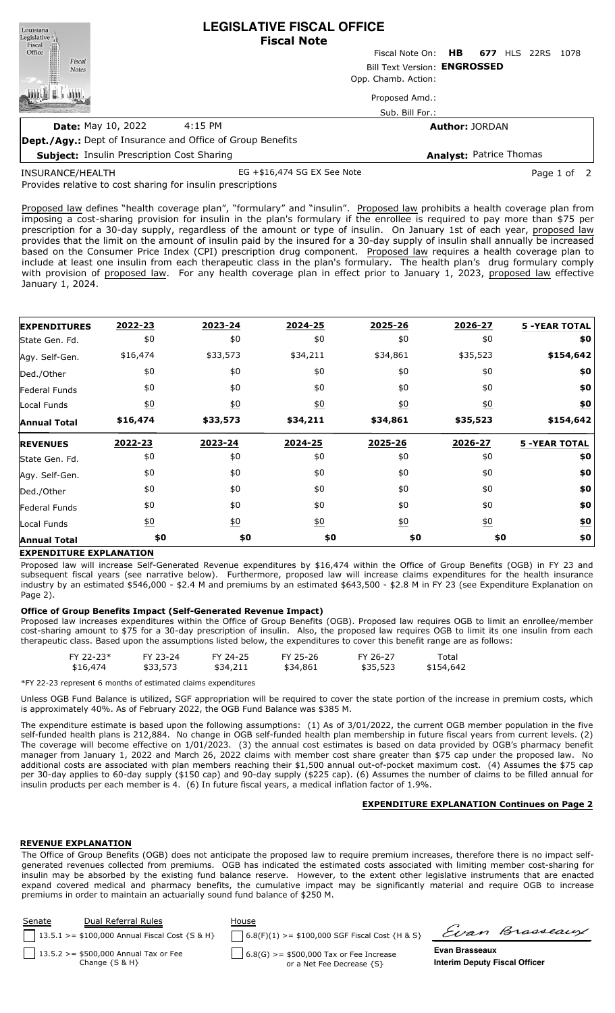| Louisiana<br>Legislative                                          |         | <b>LEGISLATIVE FISCAL OFFICE</b><br><b>Fiscal Note</b> |                                |      |
|-------------------------------------------------------------------|---------|--------------------------------------------------------|--------------------------------|------|
| Fiscal<br>Fiscal<br>Office<br>Price                               |         | Fiscal Note On: HB 677 HLS 22RS                        |                                | 1078 |
| Fiscal<br><b>Notes</b>                                            |         | Bill Text Version: ENGROSSED                           |                                |      |
|                                                                   |         | Opp. Chamb. Action:                                    |                                |      |
|                                                                   |         | Proposed Amd.:                                         |                                |      |
|                                                                   |         | Sub. Bill For.:                                        |                                |      |
| <b>Date: May 10, 2022</b>                                         | 4:15 PM |                                                        | <b>Author: JORDAN</b>          |      |
| <b>Dept./Agy.:</b> Dept of Insurance and Office of Group Benefits |         |                                                        |                                |      |
| <b>Subject: Insulin Prescription Cost Sharing</b>                 |         |                                                        | <b>Analyst: Patrice Thomas</b> |      |

INSURANCE/HEALTH

EG +\$16,474 SG EX See Note example and the Page 1 of 2

Provides relative to cost sharing for insulin prescriptions

Proposed law defines "health coverage plan", "formulary" and "insulin". Proposed law prohibits a health coverage plan from imposing a cost-sharing provision for insulin in the plan's formulary if the enrollee is required to pay more than \$75 per prescription for a 30-day supply, regardless of the amount or type of insulin. On January 1st of each year, proposed law provides that the limit on the amount of insulin paid by the insured for a 30-day supply of insulin shall annually be increased based on the Consumer Price Index (CPI) prescription drug component. Proposed law requires a health coverage plan to include at least one insulin from each therapeutic class in the plan's formulary. The health plan's drug formulary comply with provision of proposed law. For any health coverage plan in effect prior to January 1, 2023, proposed law effective January 1, 2024.

| <b>EXPENDITURES</b> | 2022-23           | 2023-24          | 2024-25          | 2025-26          | 2026-27           | <b>5 -YEAR TOTAL</b> |
|---------------------|-------------------|------------------|------------------|------------------|-------------------|----------------------|
| State Gen. Fd.      | \$0               | \$0              | \$0              | \$0              | \$0               | \$0                  |
| Agy. Self-Gen.      | \$16,474          | \$33,573         | \$34,211         | \$34,861         | \$35,523          | \$154,642            |
| Ded./Other          | \$0               | \$0              | \$0              | \$0              | \$0               | \$0                  |
| Federal Funds       | \$0               | \$0              | \$0              | \$0              | \$0               | \$0                  |
| Local Funds         | $\underline{50}$  | $\underline{50}$ | 60               | 60               | $\underline{\$0}$ | \$0                  |
| <b>Annual Total</b> | \$16,474          | \$33,573         | \$34,211         | \$34,861         | \$35,523          | \$154,642            |
| <b>REVENUES</b>     | 2022-23           | 2023-24          | 2024-25          | 2025-26          | 2026-27           | <b>5 -YEAR TOTAL</b> |
| State Gen. Fd.      | \$0               | \$0              | \$0              | \$0              | \$0               | \$0                  |
| Agy. Self-Gen.      | \$0               | \$0              | \$0              | \$0              | \$0               | \$0                  |
| Ded./Other          | \$0               | \$0              | \$0              | \$0              | \$0               | \$0                  |
| Federal Funds       | \$0               | \$0              | \$0              | \$0              | \$0               | \$0                  |
| Local Funds         | $\underline{\$0}$ | 60               | $\underline{50}$ | $\underline{50}$ | $\underline{50}$  | \$0                  |
| <b>Annual Total</b> | \$0               | \$0              | \$0              | \$0              | \$0               | \$0                  |

## **EXPENDITURE EXPLANATION**

Proposed law will increase Self-Generated Revenue expenditures by \$16,474 within the Office of Group Benefits (OGB) in FY 23 and subsequent fiscal years (see narrative below). Furthermore, proposed law will increase claims expenditures for the health insurance industry by an estimated \$546,000 - \$2.4 M and premiums by an estimated \$643,500 - \$2.8 M in FY 23 (see Expenditure Explanation on Page 2).

## **Office of Group Benefits Impact (Self-Generated Revenue Impact)**

Proposed law increases expenditures within the Office of Group Benefits (OGB). Proposed law requires OGB to limit an enrollee/member cost-sharing amount to \$75 for a 30-day prescription of insulin. Also, the proposed law requires OGB to limit its one insulin from each therapeutic class. Based upon the assumptions listed below, the expenditures to cover this benefit range are as follows:

| \$35,523<br>\$33,573<br>\$154,642<br>\$16,474<br>\$34,211<br>\$34,861 |
|-----------------------------------------------------------------------|
|-----------------------------------------------------------------------|

\*FY 22-23 represent 6 months of estimated claims expenditures

Unless OGB Fund Balance is utilized, SGF appropriation will be required to cover the state portion of the increase in premium costs, which is approximately 40%. As of February 2022, the OGB Fund Balance was \$385 M.

The expenditure estimate is based upon the following assumptions: (1) As of 3/01/2022, the current OGB member population in the five self-funded health plans is 212,884. No change in OGB self-funded health plan membership in future fiscal years from current levels. (2) The coverage will become effective on 1/01/2023. (3) the annual cost estimates is based on data provided by OGB's pharmacy benefit manager from January 1, 2022 and March 26, 2022 claims with member cost share greater than \$75 cap under the proposed law. No additional costs are associated with plan members reaching their \$1,500 annual out-of-pocket maximum cost. (4) Assumes the \$75 cap per 30-day applies to 60-day supply (\$150 cap) and 90-day supply (\$225 cap). (6) Assumes the number of claims to be filled annual for insulin products per each member is 4. (6) In future fiscal years, a medical inflation factor of 1.9%.

## **EXPENDITURE EXPLANATION Continues on Page 2**

## **REVENUE EXPLANATION**

The Office of Group Benefits (OGB) does not anticipate the proposed law to require premium increases, therefore there is no impact selfgenerated revenues collected from premiums. OGB has indicated the estimated costs associated with limiting member cost-sharing for insulin may be absorbed by the existing fund balance reserve. However, to the extent other legislative instruments that are enacted expand covered medical and pharmacy benefits, the cumulative impact may be significantly material and require OGB to increase premiums in order to maintain an actuarially sound fund balance of \$250 M.

| Senate | Dual Referral Rules<br>    13.5.1 > = \$100,000 Annual Fiscal Cost $\{S \& H\}$ | House | $6.8(F)(1)$ >= \$100,000 SGF Fiscal Cost {H & S}                       |                                                        | Evan Brasseaux |
|--------|---------------------------------------------------------------------------------|-------|------------------------------------------------------------------------|--------------------------------------------------------|----------------|
|        | 13.5.2 > = \$500,000 Annual Tax or Fee<br>Change $\{S \& H\}$                   |       | $6.8(G) > = $500,000$ Tax or Fee Increase<br>or a Net Fee Decrease {S} | Evan Brasseaux<br><b>Interim Deputy Fiscal Officer</b> |                |